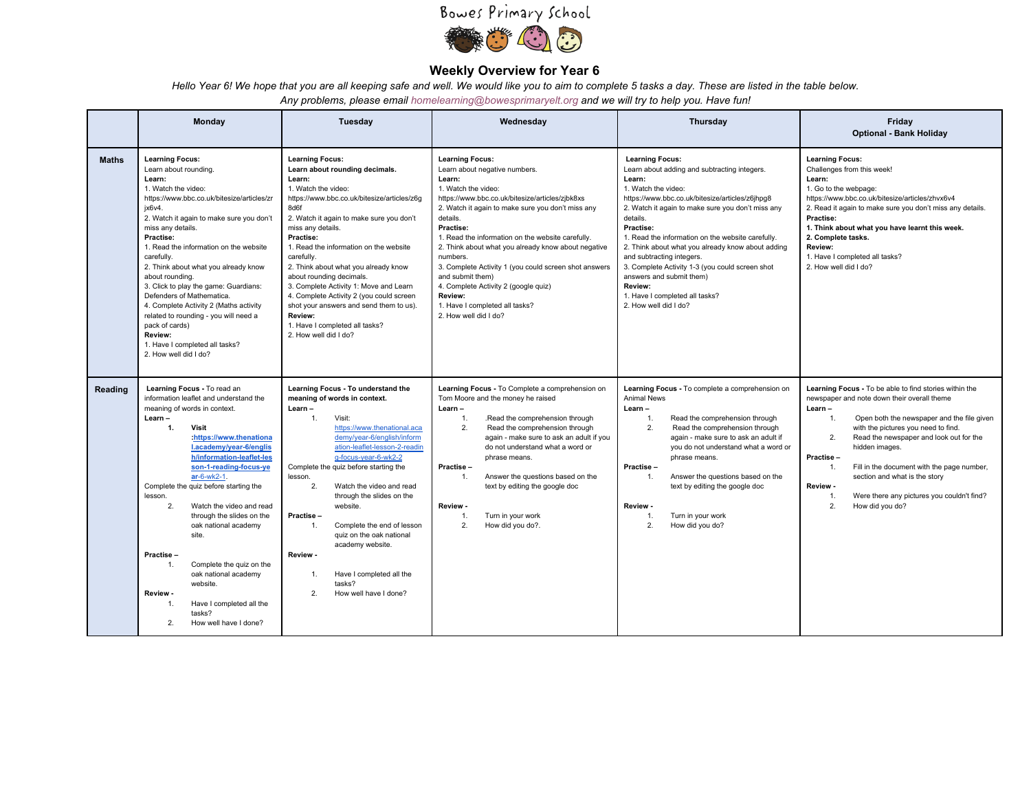## Bowes Primary School



## **Weekly Overview for Year 6**

Hello Year 6! We hope that you are all keeping safe and well. We would like you to aim to complete 5 tasks a day. These are listed in the table below.

*Any problems, please email homelearning@bowesprimaryelt.org and we will try to help you. Have fun!*

|              | Monday                                                                                                                                                                                                                                                                                                                                                                                                                                                                                                                                                                                        | Tuesday                                                                                                                                                                                                                                                                                                                                                                                                                                                                                                                                                           | Wednesday                                                                                                                                                                                                                                                                                                                                                                                                                                                                                                                                    | Thursday                                                                                                                                                                                                                                                                                                                                                                                                                                                                                                                             | Friday<br><b>Optional - Bank Holiday</b>                                                                                                                                                                                                                                                                                                                                                                                                                                 |  |
|--------------|-----------------------------------------------------------------------------------------------------------------------------------------------------------------------------------------------------------------------------------------------------------------------------------------------------------------------------------------------------------------------------------------------------------------------------------------------------------------------------------------------------------------------------------------------------------------------------------------------|-------------------------------------------------------------------------------------------------------------------------------------------------------------------------------------------------------------------------------------------------------------------------------------------------------------------------------------------------------------------------------------------------------------------------------------------------------------------------------------------------------------------------------------------------------------------|----------------------------------------------------------------------------------------------------------------------------------------------------------------------------------------------------------------------------------------------------------------------------------------------------------------------------------------------------------------------------------------------------------------------------------------------------------------------------------------------------------------------------------------------|--------------------------------------------------------------------------------------------------------------------------------------------------------------------------------------------------------------------------------------------------------------------------------------------------------------------------------------------------------------------------------------------------------------------------------------------------------------------------------------------------------------------------------------|--------------------------------------------------------------------------------------------------------------------------------------------------------------------------------------------------------------------------------------------------------------------------------------------------------------------------------------------------------------------------------------------------------------------------------------------------------------------------|--|
| <b>Maths</b> | <b>Learning Focus:</b><br>Learn about rounding.<br>Learn:<br>1. Watch the video:<br>https://www.bbc.co.uk/bitesize/articles/zr<br>jx6v4.<br>2. Watch it again to make sure you don't<br>miss any details.<br>Practise:<br>1. Read the information on the website<br>carefully.<br>2. Think about what you already know<br>about rounding.<br>3. Click to play the game: Guardians:<br>Defenders of Mathematica.<br>4. Complete Activity 2 (Maths activity<br>related to rounding - you will need a<br>pack of cards)<br>Review:<br>1. Have I completed all tasks?<br>2. How well did I do?    | <b>Learning Focus:</b><br>Learn about rounding decimals.<br>Learn:<br>1. Watch the video:<br>https://www.bbc.co.uk/bitesize/articles/z6g<br>8d6f<br>2. Watch it again to make sure you don't<br>miss any details.<br>Practise:<br>1. Read the information on the website<br>carefully.<br>2. Think about what you already know<br>about rounding decimals.<br>3. Complete Activity 1: Move and Learn<br>4. Complete Activity 2 (you could screen<br>shot your answers and send them to us).<br>Review:<br>1. Have I completed all tasks?<br>2. How well did I do? | <b>Learning Focus:</b><br>Learn about negative numbers.<br>Learn:<br>1. Watch the video:<br>https://www.bbc.co.uk/bitesize/articles/zibk8xs<br>2. Watch it again to make sure you don't miss any<br>details.<br>Practise:<br>1. Read the information on the website carefully.<br>2. Think about what you already know about negative<br>numbers.<br>3. Complete Activity 1 (you could screen shot answers<br>and submit them)<br>4. Complete Activity 2 (google quiz)<br>Review:<br>1. Have I completed all tasks?<br>2. How well did I do? | <b>Learning Focus:</b><br>Learn about adding and subtracting integers.<br>Learn:<br>1. Watch the video:<br>https://www.bbc.co.uk/bitesize/articles/z6jhpq8<br>2. Watch it again to make sure you don't miss any<br>details.<br>Practise:<br>1. Read the information on the website carefully.<br>2. Think about what you already know about adding<br>and subtracting integers.<br>3. Complete Activity 1-3 (you could screen shot<br>answers and submit them)<br>Review:<br>1. Have I completed all tasks?<br>2. How well did I do? | <b>Learning Focus:</b><br>Challenges from this week!<br>Learn:<br>1. Go to the webpage:<br>https://www.bbc.co.uk/bitesize/articles/zhvx6v4<br>2. Read it again to make sure you don't miss any details.<br>Practise:<br>1. Think about what you have learnt this week.<br>2. Complete tasks.<br>Review:<br>1. Have I completed all tasks?<br>2. How well did I do?                                                                                                       |  |
| Reading      | Learning Focus - To read an<br>information leaflet and understand the<br>meaning of words in context.<br>Learn-<br>$\mathbf{1}$ .<br>Visit<br>https://www.thenationa<br>l.academy/year-6/englis<br>h/information-leaflet-les<br>son-1-reading-focus-ye<br>ar-6-wk2-1.<br>Complete the quiz before starting the<br>lesson.<br>2.<br>Watch the video and read<br>through the slides on the<br>oak national academy<br>site.<br>Practise-<br>Complete the quiz on the<br>oak national academy<br>website.<br>Review -<br>Have I completed all the<br>1.<br>tasks?<br>2.<br>How well have I done? | Learning Focus - To understand the<br>meaning of words in context.<br>Learn-<br>$\mathbf{1}$ .<br>Visit:<br>https://www.thenational.aca<br>demy/year-6/english/inform<br>ation-leaflet-lesson-2-readin<br>q-focus-year-6-wk2-2<br>Complete the quiz before starting the<br>lesson.<br>2.<br>Watch the video and read<br>through the slides on the<br>website.<br>Practise-<br>Complete the end of lesson<br>$\mathbf{1}$<br>quiz on the oak national<br>academy website.<br>Review -<br>Have I completed all the<br>1.<br>tasks?<br>2.<br>How well have I done?   | Learning Focus - To Complete a comprehension on<br>Tom Moore and the money he raised<br>Learn-<br>.Read the comprehension through<br>1.<br>2.<br>Read the comprehension through<br>again - make sure to ask an adult if you<br>do not understand what a word or<br>phrase means.<br>Practise-<br>Answer the questions based on the<br>1 <sub>1</sub><br>text by editing the google doc<br>Review -<br>Turn in your work<br>1.<br>2.<br>How did you do?.                                                                                      | Learning Focus - To complete a comprehension on<br><b>Animal News</b><br>Learn-<br>Read the comprehension through<br>1.<br>2.<br>Read the comprehension through<br>again - make sure to ask an adult if<br>you do not understand what a word or<br>phrase means.<br>Practise-<br>Answer the questions based on the<br>1.<br>text by editing the google doc<br>Review -<br>Turn in your work<br>1.<br>2.<br>How did you do?                                                                                                           | Learning Focus - To be able to find stories within the<br>newspaper and note down their overall theme<br>Learn-<br>Open both the newspaper and the file given<br>1.<br>with the pictures you need to find.<br>2.<br>Read the newspaper and look out for the<br>hidden images.<br>Practise-<br>Fill in the document with the page number,<br>1.<br>section and what is the story<br>Review -<br>Were there any pictures you couldn't find?<br>1.<br>2.<br>How did you do? |  |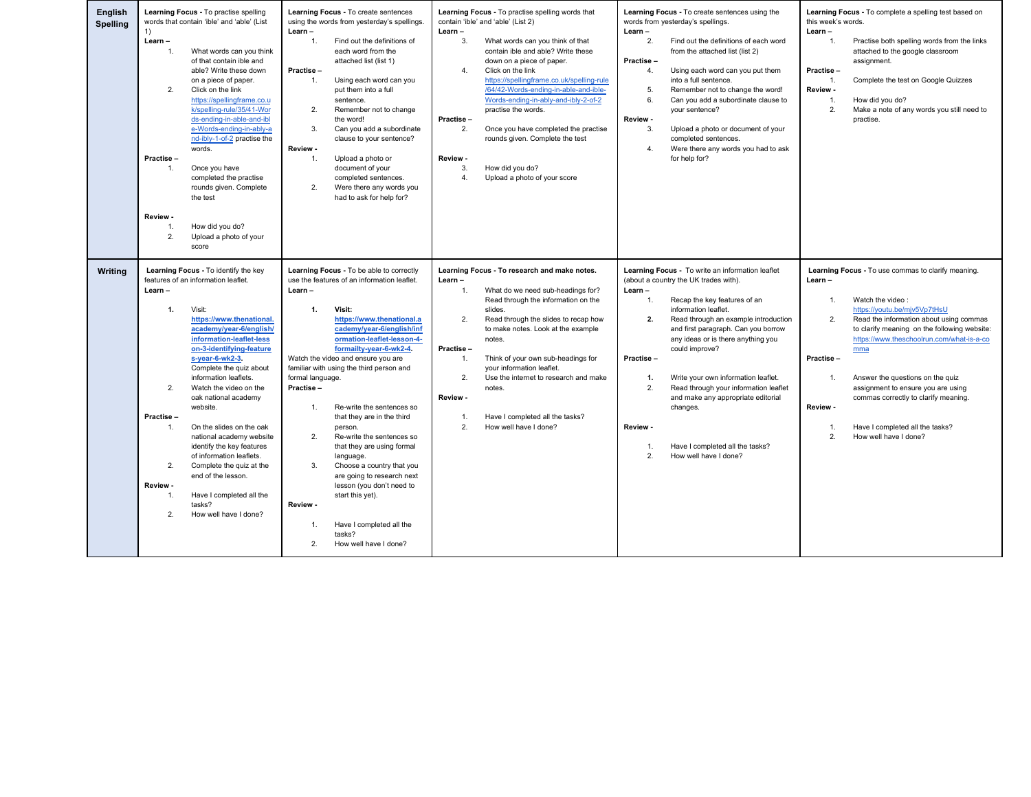| English<br><b>Spelling</b> | Learning Focus - To practise spelling<br>words that contain 'ible' and 'able' (List<br>1)<br>Learn-<br>What words can you think<br>of that contain ible and<br>able? Write these down<br>on a piece of paper.<br>2.<br>Click on the link<br>https://spellingframe.co.u<br>k/spelling-rule/35/41-Wor<br>ds-ending-in-able-and-ibl<br>e-Words-ending-in-ably-a<br>nd-ibly-1-of-2 practise the<br>words.<br>Practise-<br>1 <sup>1</sup><br>Once you have<br>completed the practise<br>rounds given. Complete<br>the test<br>Review -<br>How did you do?<br>1.<br>2.<br>Upload a photo of your<br>score                                                | Learning Focus - To create sentences<br>using the words from yesterday's spellings.<br>Learn-<br>Find out the definitions of<br>1.<br>each word from the<br>attached list (list 1)<br>Practise-<br>$\mathbf{1}$ .<br>Using each word can you<br>put them into a full<br>sentence.<br>2.<br>Remember not to change<br>the word!<br>3.<br>Can you add a subordinate<br>clause to your sentence?<br>Review -<br>$\mathbf{1}$ .<br>Upload a photo or<br>document of your<br>completed sentences.<br>2.<br>Were there any words you<br>had to ask for help for?                                                                                                                                                                 | Learning Focus - To practise spelling words that<br>contain 'ible' and 'able' (List 2)<br>Learn-<br>3.<br>What words can you think of that<br>contain ible and able? Write these<br>down on a piece of paper.<br>4.<br>Click on the link<br>https://spellingframe.co.uk/spelling-rule<br>/64/42-Words-ending-in-able-and-ible-<br>Words-ending-in-ably-and-ibly-2-of-2<br>practise the words.<br>Practise-<br>2.<br>Once you have completed the practise<br>rounds given. Complete the test<br>Review -<br>3.<br>How did you do?<br>4.<br>Upload a photo of your score | Learning Focus - To create sentences using the<br>words from yesterday's spellings.<br>Learn-<br>2.<br>Find out the definitions of each word<br>from the attached list (list 2)<br>Practise-<br>4.<br>Using each word can you put them<br>into a full sentence.<br>5.<br>Remember not to change the word!<br>6.<br>Can you add a subordinate clause to<br>your sentence?<br>Review -<br>3.<br>Upload a photo or document of your<br>completed sentences.<br>4.<br>Were there any words you had to ask<br>for help for?                                       | Learning Focus - To complete a spelling test based on<br>this week's words.<br>Learn-<br>$\mathbf{1}$ .<br>Practise both spelling words from the links<br>attached to the google classroom<br>assignment.<br>Practise-<br>Complete the test on Google Quizzes<br>1.<br>Review -<br>1.<br>How did you do?<br>2.<br>Make a note of any words you still need to<br>practise.                                                                                                                            |
|----------------------------|----------------------------------------------------------------------------------------------------------------------------------------------------------------------------------------------------------------------------------------------------------------------------------------------------------------------------------------------------------------------------------------------------------------------------------------------------------------------------------------------------------------------------------------------------------------------------------------------------------------------------------------------------|----------------------------------------------------------------------------------------------------------------------------------------------------------------------------------------------------------------------------------------------------------------------------------------------------------------------------------------------------------------------------------------------------------------------------------------------------------------------------------------------------------------------------------------------------------------------------------------------------------------------------------------------------------------------------------------------------------------------------|------------------------------------------------------------------------------------------------------------------------------------------------------------------------------------------------------------------------------------------------------------------------------------------------------------------------------------------------------------------------------------------------------------------------------------------------------------------------------------------------------------------------------------------------------------------------|--------------------------------------------------------------------------------------------------------------------------------------------------------------------------------------------------------------------------------------------------------------------------------------------------------------------------------------------------------------------------------------------------------------------------------------------------------------------------------------------------------------------------------------------------------------|------------------------------------------------------------------------------------------------------------------------------------------------------------------------------------------------------------------------------------------------------------------------------------------------------------------------------------------------------------------------------------------------------------------------------------------------------------------------------------------------------|
| Writing                    | Learning Focus - To identify the key<br>features of an information leaflet.<br>Learn-<br>Visit:<br>1.<br>https://www.thenational.<br>academy/year-6/english/<br>information-leaflet-less<br>on-3-identifying-feature<br>s-year-6-wk2-3.<br>Complete the quiz about<br>information leaflets.<br>2.<br>Watch the video on the<br>oak national academy<br>website.<br>Practise-<br>1.<br>On the slides on the oak<br>national academy website<br>identify the key features<br>of information leaflets.<br>2.<br>Complete the quiz at the<br>end of the lesson.<br>Review -<br>Have I completed all the<br>1.<br>tasks?<br>2.<br>How well have I done? | Learning Focus - To be able to correctly<br>use the features of an information leaflet.<br>Learn-<br>1.<br>Visit:<br>https://www.thenational.a<br>cademy/year-6/english/inf<br>ormation-leaflet-lesson-4-<br>formailty-year-6-wk2-4.<br>Watch the video and ensure you are<br>familiar with using the third person and<br>formal language.<br>Practise-<br>Re-write the sentences so<br>1.<br>that they are in the third<br>person.<br>2.<br>Re-write the sentences so<br>that they are using formal<br>language.<br>3.<br>Choose a country that you<br>are going to research next<br>lesson (you don't need to<br>start this yet).<br>Review -<br>1.<br>Have I completed all the<br>tasks?<br>2.<br>How well have I done? | Learning Focus - To research and make notes.<br>Learn-<br>What do we need sub-headings for?<br>1.<br>Read through the information on the<br>slides.<br>2.<br>Read through the slides to recap how<br>to make notes. Look at the example<br>notes.<br>Practise-<br>1.<br>Think of your own sub-headings for<br>your information leaflet.<br>2.<br>Use the internet to research and make<br>notes.<br>Review -<br>Have I completed all the tasks?<br>1.<br>2.<br>How well have I done?                                                                                   | Learning Focus - To write an information leaflet<br>(about a country the UK trades with).<br>Learn-<br>Recap the key features of an<br>1.<br>information leaflet<br>2.<br>Read through an example introduction<br>and first paragraph. Can you borrow<br>any ideas or is there anything you<br>could improve?<br>Practise-<br>1.<br>Write your own information leaflet.<br>2.<br>Read through your information leaflet<br>and make any appropriate editorial<br>changes.<br>Review -<br>Have I completed all the tasks?<br>1.<br>2.<br>How well have I done? | Learning Focus - To use commas to clarify meaning.<br>Learn-<br>1.<br>Watch the video:<br>https://voutu.be/miv5Vp7tHsU<br>2.<br>Read the information about using commas<br>to clarify meaning on the following website:<br>https://www.theschoolrun.com/what-is-a-co<br>mma<br>Practise-<br>1.<br>Answer the questions on the quiz<br>assignment to ensure you are using<br>commas correctly to clarify meaning.<br>Review -<br>1.<br>Have I completed all the tasks?<br>2.<br>How well have I done? |